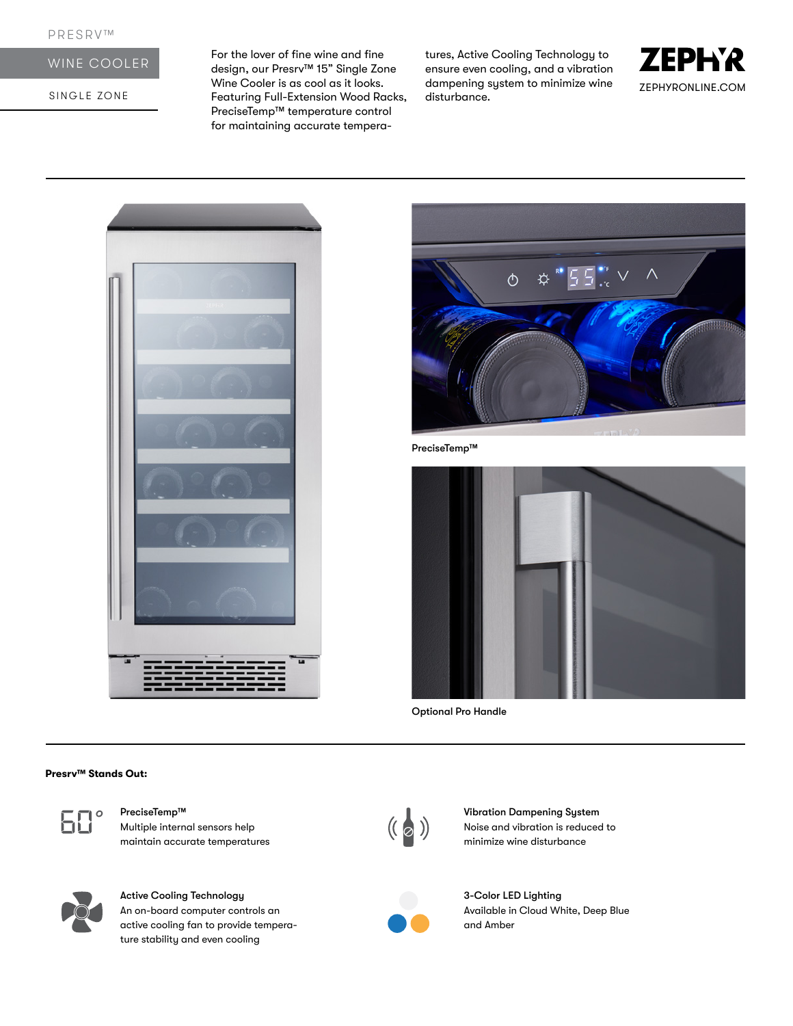# WINE COOLER

SINGLE ZONE

For the lover of fine wine and fine design, our Presrv™ 15" Single Zone Wine Cooler is as cool as it looks. Featuring Full-Extension Wood Racks, PreciseTemp™ temperature control for maintaining accurate temperatures, Active Cooling Technology to ensure even cooling, and a vibration dampening system to minimize wine disturbance.







PreciseTemp™



Optional Pro Handle

#### **Presrv™ Stands Out:**



# Multiple internal sensors help

maintain accurate temperatures



## Active Cooling Technology An on-board computer controls an

active cooling fan to provide temperature stability and even cooling



PreciseTemp™ Vibration Dampening System<br>Multiple internal sensors help (( a ) Vibration Dampening System<br>minimize wine disturbance<br>minimize wine disturbance Noise and vibration is reduced to minimize wine disturbance



3-Color LED Lighting Available in Cloud White, Deep Blue and Amber